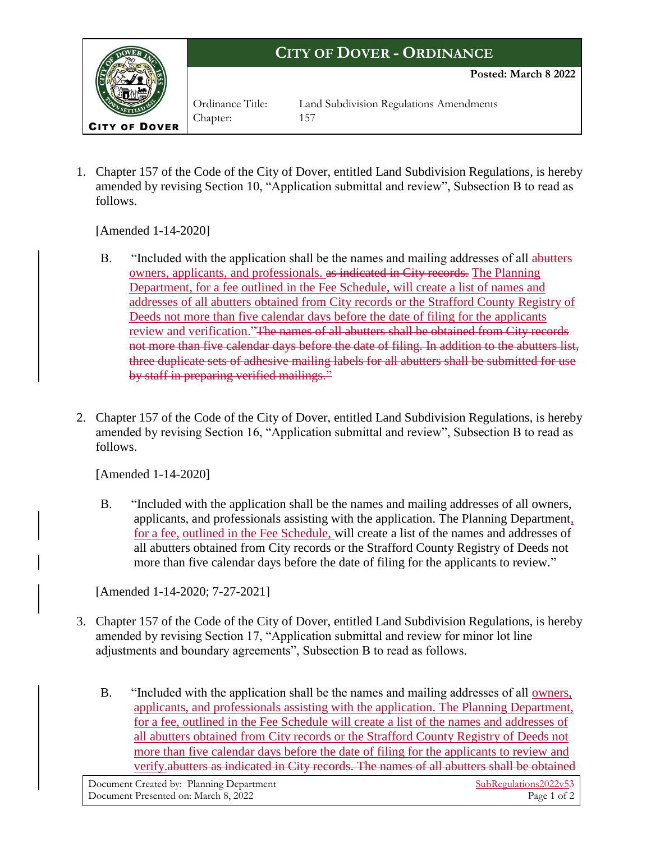

1. Chapter 157 of the Code of the City of Dover, entitled Land Subdivision Regulations, is hereby amended by revising Section 10, "Application submittal and review", Subsection B to read as follows.

[Amended 1-14-2020]

- B. "Included with the application shall be the names and mailing addresses of all abutters owners, applicants, and professionals. as indicated in City records. The Planning Department, for a fee outlined in the Fee Schedule, will create a list of names and addresses of all abutters obtained from City records or the Strafford County Registry of Deeds not more than five calendar days before the date of filing for the applicants review and verification."The names of all abutters shall be obtained from City records not more than five calendar days before the date of filing. In addition to the abutters list, three duplicate sets of adhesive mailing labels for all abutters shall be submitted for use by staff in preparing verified mailings."
- 2. Chapter 157 of the Code of the City of Dover, entitled Land Subdivision Regulations, is hereby amended by revising Section 16, "Application submittal and review", Subsection B to read as follows.

[Amended 1-14-2020]

B. "Included with the application shall be the names and mailing addresses of all owners, applicants, and professionals assisting with the application. The Planning Department, for a fee, outlined in the Fee Schedule, will create a list of the names and addresses of all abutters obtained from City records or the Strafford County Registry of Deeds not more than five calendar days before the date of filing for the applicants to review."

[Amended 1-14-2020; 7-27-2021]

- 3. Chapter 157 of the Code of the City of Dover, entitled Land Subdivision Regulations, is hereby amended by revising Section 17, "Application submittal and review for minor lot line adjustments and boundary agreements", Subsection B to read as follows.
	- B. "Included with the application shall be the names and mailing addresses of all owners, applicants, and professionals assisting with the application. The Planning Department, for a fee, outlined in the Fee Schedule will create a list of the names and addresses of all abutters obtained from City records or the Strafford County Registry of Deeds not more than five calendar days before the date of filing for the applicants to review and verify.abutters as indicated in City records. The names of all abutters shall be obtained